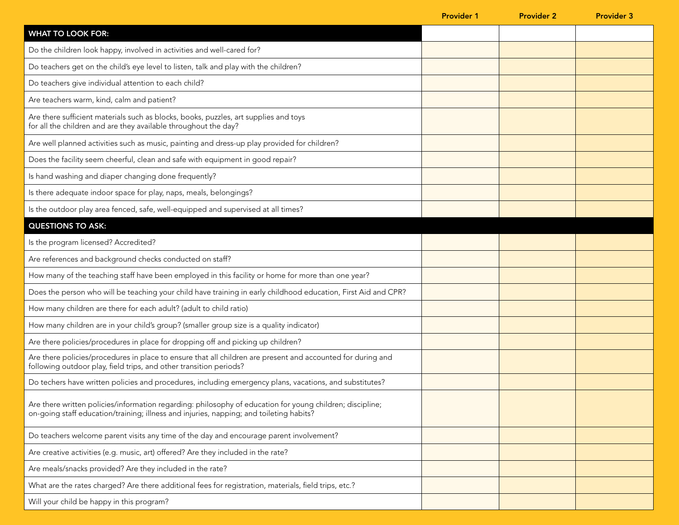|                                                                                                                                                                                                      | <b>Provider 1</b> | <b>Provider 2</b> | <b>Provider 3</b> |
|------------------------------------------------------------------------------------------------------------------------------------------------------------------------------------------------------|-------------------|-------------------|-------------------|
| <b>WHAT TO LOOK FOR:</b>                                                                                                                                                                             |                   |                   |                   |
| Do the children look happy, involved in activities and well-cared for?                                                                                                                               |                   |                   |                   |
| Do teachers get on the child's eye level to listen, talk and play with the children?                                                                                                                 |                   |                   |                   |
| Do teachers give individual attention to each child?                                                                                                                                                 |                   |                   |                   |
| Are teachers warm, kind, calm and patient?                                                                                                                                                           |                   |                   |                   |
| Are there sufficient materials such as blocks, books, puzzles, art supplies and toys<br>for all the children and are they available throughout the day?                                              |                   |                   |                   |
| Are well planned activities such as music, painting and dress-up play provided for children?                                                                                                         |                   |                   |                   |
| Does the facility seem cheerful, clean and safe with equipment in good repair?                                                                                                                       |                   |                   |                   |
| Is hand washing and diaper changing done frequently?                                                                                                                                                 |                   |                   |                   |
| Is there adequate indoor space for play, naps, meals, belongings?                                                                                                                                    |                   |                   |                   |
| Is the outdoor play area fenced, safe, well-equipped and supervised at all times?                                                                                                                    |                   |                   |                   |
| <b>QUESTIONS TO ASK:</b>                                                                                                                                                                             |                   |                   |                   |
| Is the program licensed? Accredited?                                                                                                                                                                 |                   |                   |                   |
| Are references and background checks conducted on staff?                                                                                                                                             |                   |                   |                   |
| How many of the teaching staff have been employed in this facility or home for more than one year?                                                                                                   |                   |                   |                   |
| Does the person who will be teaching your child have training in early childhood education, First Aid and CPR?                                                                                       |                   |                   |                   |
| How many children are there for each adult? (adult to child ratio)                                                                                                                                   |                   |                   |                   |
| How many children are in your child's group? (smaller group size is a quality indicator)                                                                                                             |                   |                   |                   |
| Are there policies/procedures in place for dropping off and picking up children?                                                                                                                     |                   |                   |                   |
| Are there policies/procedures in place to ensure that all children are present and accounted for during and<br>following outdoor play, field trips, and other transition periods?                    |                   |                   |                   |
| Do techers have written policies and procedures, including emergency plans, vacations, and substitutes?                                                                                              |                   |                   |                   |
| Are there written policies/information regarding: philosophy of education for young children; discipline;<br>on-going staff education/training; illness and injuries, napping; and toileting habits? |                   |                   |                   |
| Do teachers welcome parent visits any time of the day and encourage parent involvement?                                                                                                              |                   |                   |                   |
| Are creative activities (e.g. music, art) offered? Are they included in the rate?                                                                                                                    |                   |                   |                   |
| Are meals/snacks provided? Are they included in the rate?                                                                                                                                            |                   |                   |                   |
| What are the rates charged? Are there additional fees for registration, materials, field trips, etc.?                                                                                                |                   |                   |                   |
| Will your child be happy in this program?                                                                                                                                                            |                   |                   |                   |